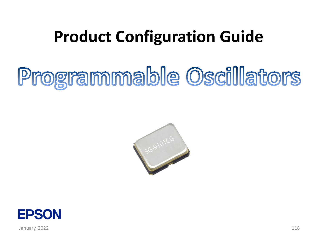## **Product Configuration Guide**

# Programmable Oscillators



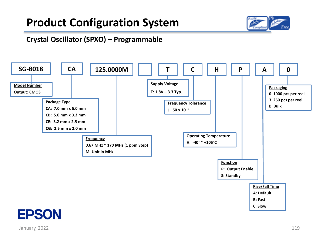

#### **Crystal Oscillator (SPXO) – Programmable**



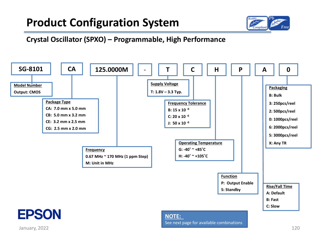

**Crystal Oscillator (SPXO) – Programmable, High Performance**

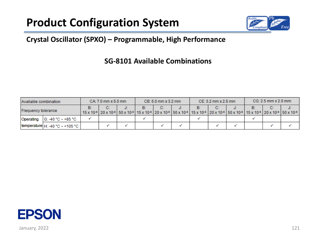

#### **Crystal Oscillator (SPXO) – Programmable, High Performance**

#### **SG-8101 Available Combinations**

| Available combination |                                      | $CA: 7.0$ mm $x 5.0$ mm |    | $CB: 5.0$ mm $\times$ 3.2 mm |  | $CE: 3.2$ mm $\times 2.5$ mm |  | $CG: 2.5$ mm $\times$ 2.0 mm |                                                                                                                                                                                                                                                                                               |  |  |    |  |
|-----------------------|--------------------------------------|-------------------------|----|------------------------------|--|------------------------------|--|------------------------------|-----------------------------------------------------------------------------------------------------------------------------------------------------------------------------------------------------------------------------------------------------------------------------------------------|--|--|----|--|
| Frequency tolerance   |                                      | B:                      | C. |                              |  | C:                           |  |                              | 15 x 10 <sup>-6</sup>   20 x 10 <sup>-6</sup>   50 x 10 <sup>-6</sup>   15 x 10 <sup>-6</sup>   20 x 10 <sup>-6</sup>   50 x 10 <sup>-6</sup>   15 x 10 <sup>-6</sup>   20 x 10 <sup>-6</sup>   50 x 10 <sup>-6</sup>   15 x 10 <sup>-6</sup>   20 x 10 <sup>-6</sup>   50 x 10 <sup>-6</sup> |  |  | C. |  |
| Operating             | G: -40 °C ~ +85 °C                   |                         |    |                              |  |                              |  |                              |                                                                                                                                                                                                                                                                                               |  |  |    |  |
|                       | temperature $H: -40 °C \sim +105 °C$ |                         |    |                              |  |                              |  |                              |                                                                                                                                                                                                                                                                                               |  |  |    |  |

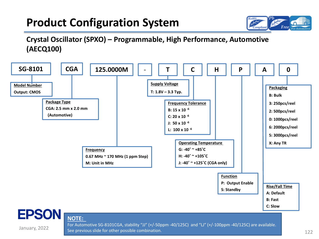

**Crystal Oscillator (SPXO) – Programmable, High Performance, Automotive (AECQ100)**



#### **NOTE:**

January, 2022

For Automotive SG-8101CGA, stability "JJ" (+/-50ppm -40/125C) and "LJ" (+/-100ppm -40/125C) are available. See previous slide for other possible combination.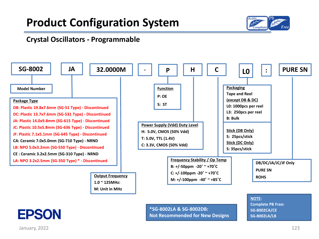

#### **Crystal Oscillators - Programmable**



January, 2022 2003 123 and 2022 2023 123 and 2022 2023 123 and 2023 123 and 2023 123 and 2023 123 and 2023 123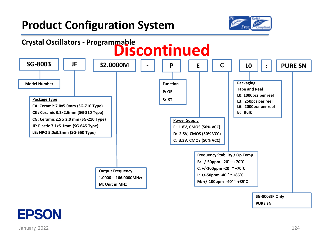



**EPSON**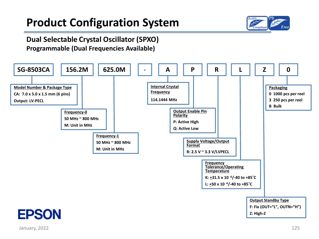

#### **Dual Selectable Crystal Oscillator (SPXO) Programmable (Dual Frequencies Available)**

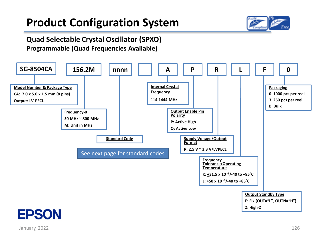

#### **Quad Selectable Crystal Oscillator (SPXO) Programmable (Quad Frequencies Available)**

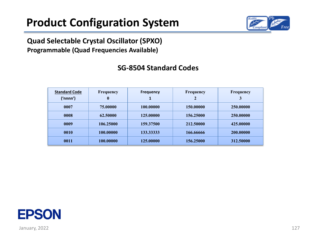

#### **Quad Selectable Crystal Oscillator (SPXO) Programmable (Quad Frequencies Available)**

| <b>Standard Code</b><br>('nnnn') | Frequency<br>$\bf{0}$ | <b>Frequency</b> | <b>Frequency</b> | <b>Frequency</b><br>3 |
|----------------------------------|-----------------------|------------------|------------------|-----------------------|
| 0007                             | 75.00000              | 100.00000        | 150.00000        | 250.00000             |
| 0008                             | 62.50000              | 125,00000        | 156.25000        | 250.00000             |
| 0009                             | 106.25000             | 159.37500        | 212.50000        | 425,00000             |
| 0010                             | 100.00000             | 133.33333        | 166.66666        | 200.00000             |
| 0011                             | 100.00000             | 125.00000        | 156.25000        | 312.50000             |

#### **SG-8504 Standard Codes**

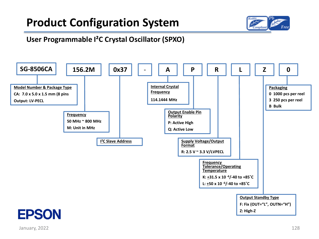

#### **User Programmable I²C Crystal Oscillator (SPXO)**

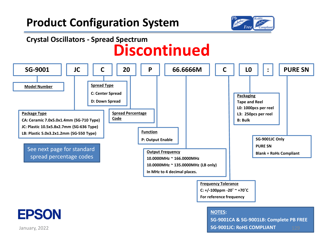

### **Crystal Oscillators - Spread Spectrum Discontinued**

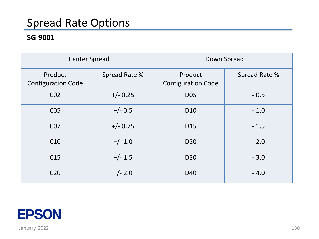### Spread Rate Options

#### **SG-9001**

|                                      | <b>Center Spread</b> | Down Spread                          |               |  |  |
|--------------------------------------|----------------------|--------------------------------------|---------------|--|--|
| Product<br><b>Configuration Code</b> | Spread Rate %        | Product<br><b>Configuration Code</b> | Spread Rate % |  |  |
| CO <sub>2</sub>                      | $+/- 0.25$           | <b>D05</b>                           | $-0.5$        |  |  |
| C <sub>05</sub>                      | $+/- 0.5$            | D <sub>10</sub>                      | $-1.0$        |  |  |
| C07                                  | $+/- 0.75$           | D <sub>15</sub>                      | $-1.5$        |  |  |
| C10                                  | $+/- 1.0$            | D <sub>20</sub>                      | $-2.0$        |  |  |
| C <sub>15</sub>                      | $+/- 1.5$            | D30                                  | $-3.0$        |  |  |
| C <sub>20</sub>                      | $+/- 2.0$            | D40                                  | $-4.0$        |  |  |

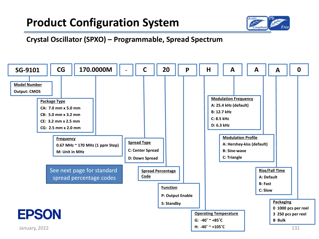

#### **Crystal Oscillator (SPXO) – Programmable, Spread Spectrum**

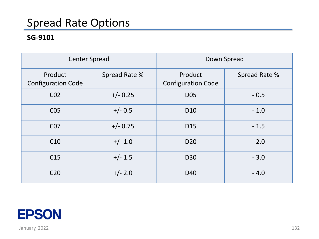### Spread Rate Options

#### **SG-9101**

|                                      | <b>Center Spread</b> | Down Spread                          |               |  |  |
|--------------------------------------|----------------------|--------------------------------------|---------------|--|--|
| Product<br><b>Configuration Code</b> | Spread Rate %        | Product<br><b>Configuration Code</b> | Spread Rate % |  |  |
| CO <sub>2</sub>                      | $+/- 0.25$           | <b>D05</b>                           | $-0.5$        |  |  |
| C <sub>05</sub>                      | $+/- 0.5$            | D <sub>10</sub>                      | $-1.0$        |  |  |
| C07                                  | $+/- 0.75$           | D <sub>15</sub>                      | $-1.5$        |  |  |
| C10                                  | $+/- 1.0$            | D <sub>20</sub>                      | $-2.0$        |  |  |
| C <sub>15</sub>                      | $+/- 1.5$            | D30                                  | $-3.0$        |  |  |
| C <sub>20</sub>                      | $+/- 2.0$            | D40                                  | $-4.0$        |  |  |